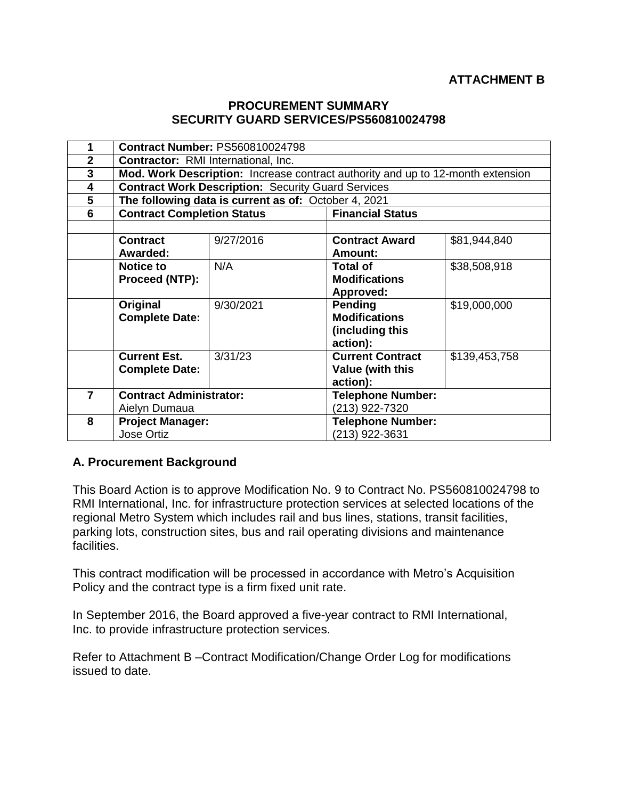## **PROCUREMENT SUMMARY SECURITY GUARD SERVICES/PS560810024798**

| 1              | <b>Contract Number: PS560810024798</b>                                          |           |                          |               |  |
|----------------|---------------------------------------------------------------------------------|-----------|--------------------------|---------------|--|
| $\overline{2}$ | <b>Contractor:</b> RMI International, Inc.                                      |           |                          |               |  |
| 3              | Mod. Work Description: Increase contract authority and up to 12-month extension |           |                          |               |  |
| 4              | <b>Contract Work Description: Security Guard Services</b>                       |           |                          |               |  |
| 5              | The following data is current as of: October 4, 2021                            |           |                          |               |  |
| 6              | <b>Contract Completion Status</b>                                               |           | <b>Financial Status</b>  |               |  |
|                |                                                                                 |           |                          |               |  |
|                | <b>Contract</b>                                                                 | 9/27/2016 | <b>Contract Award</b>    | \$81,944,840  |  |
|                | Awarded:                                                                        |           | <b>Amount:</b>           |               |  |
|                | <b>Notice to</b>                                                                | N/A       | <b>Total of</b>          | \$38,508,918  |  |
|                | Proceed (NTP):                                                                  |           | <b>Modifications</b>     |               |  |
|                |                                                                                 |           | Approved:                |               |  |
|                | Original                                                                        | 9/30/2021 | Pending                  | \$19,000,000  |  |
|                | <b>Complete Date:</b>                                                           |           | <b>Modifications</b>     |               |  |
|                |                                                                                 |           | (including this          |               |  |
|                |                                                                                 |           | action):                 |               |  |
|                | <b>Current Est.</b>                                                             | 3/31/23   | <b>Current Contract</b>  | \$139,453,758 |  |
|                | <b>Complete Date:</b>                                                           |           | Value (with this         |               |  |
|                |                                                                                 |           | action):                 |               |  |
| $\overline{7}$ | <b>Contract Administrator:</b>                                                  |           | <b>Telephone Number:</b> |               |  |
|                | Aielyn Dumaua                                                                   |           | (213) 922-7320           |               |  |
| 8              | <b>Project Manager:</b>                                                         |           | <b>Telephone Number:</b> |               |  |
|                | Jose Ortiz                                                                      |           | (213) 922-3631           |               |  |

## **A. Procurement Background**

This Board Action is to approve Modification No. 9 to Contract No. PS560810024798 to RMI International, Inc. for infrastructure protection services at selected locations of the regional Metro System which includes rail and bus lines, stations, transit facilities, parking lots, construction sites, bus and rail operating divisions and maintenance facilities.

This contract modification will be processed in accordance with Metro's Acquisition Policy and the contract type is a firm fixed unit rate.

In September 2016, the Board approved a five-year contract to RMI International, Inc. to provide infrastructure protection services.

Refer to Attachment B –Contract Modification/Change Order Log for modifications issued to date.